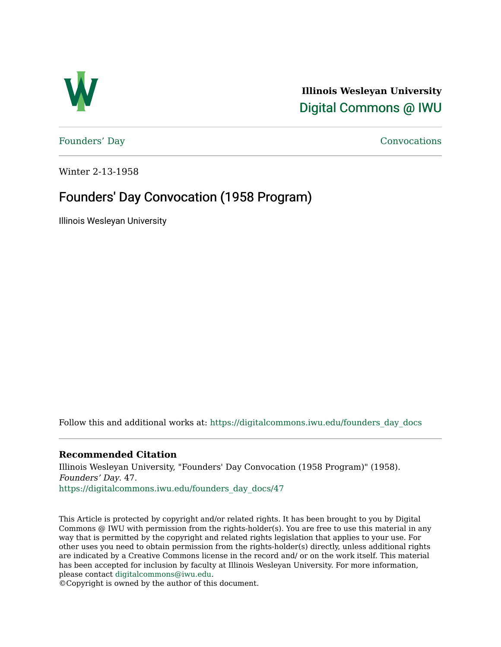

**Illinois Wesleyan University**  [Digital Commons @ IWU](https://digitalcommons.iwu.edu/) 

[Founders' Day](https://digitalcommons.iwu.edu/founders_day_docs) [Convocations](https://digitalcommons.iwu.edu/convocations_docs) 

Winter 2-13-1958

### Founders' Day Convocation (1958 Program)

Illinois Wesleyan University

Follow this and additional works at: [https://digitalcommons.iwu.edu/founders\\_day\\_docs](https://digitalcommons.iwu.edu/founders_day_docs?utm_source=digitalcommons.iwu.edu%2Ffounders_day_docs%2F47&utm_medium=PDF&utm_campaign=PDFCoverPages) 

### **Recommended Citation**

Illinois Wesleyan University, "Founders' Day Convocation (1958 Program)" (1958). Founders' Day. 47. [https://digitalcommons.iwu.edu/founders\\_day\\_docs/47](https://digitalcommons.iwu.edu/founders_day_docs/47?utm_source=digitalcommons.iwu.edu%2Ffounders_day_docs%2F47&utm_medium=PDF&utm_campaign=PDFCoverPages)

This Article is protected by copyright and/or related rights. It has been brought to you by Digital Commons @ IWU with permission from the rights-holder(s). You are free to use this material in any way that is permitted by the copyright and related rights legislation that applies to your use. For other uses you need to obtain permission from the rights-holder(s) directly, unless additional rights are indicated by a Creative Commons license in the record and/ or on the work itself. This material has been accepted for inclusion by faculty at Illinois Wesleyan University. For more information, please contact [digitalcommons@iwu.edu.](mailto:digitalcommons@iwu.edu)

©Copyright is owned by the author of this document.